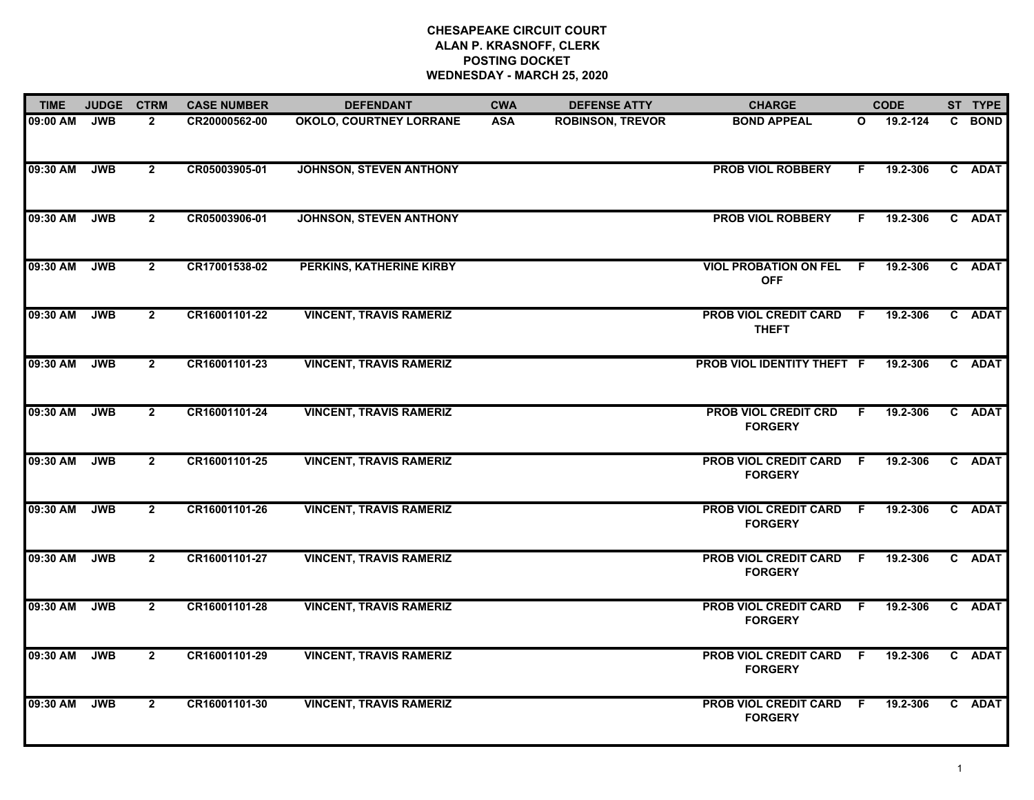## **CHESAPEAKE CIRCUIT COURT ALAN P. KRASNOFF, CLERK POSTING DOCKET WEDNESDAY - MARCH 25, 2020**

| <b>TIME</b> | <b>JUDGE</b> | <b>CTRM</b>    | <b>CASE NUMBER</b> | <b>DEFENDANT</b>               | <b>CWA</b> | <b>DEFENSE ATTY</b>     | <b>CHARGE</b>                                  |     | <b>CODE</b> | ST TYPE |
|-------------|--------------|----------------|--------------------|--------------------------------|------------|-------------------------|------------------------------------------------|-----|-------------|---------|
| 09:00 AM    | <b>JWB</b>   | $\mathbf{2}$   | CR20000562-00      | <b>OKOLO, COURTNEY LORRANE</b> | <b>ASA</b> | <b>ROBINSON, TREVOR</b> | <b>BOND APPEAL</b>                             | O   | 19.2-124    | C BOND  |
| 09:30 AM    | <b>JWB</b>   | $\overline{2}$ | CR05003905-01      | <b>JOHNSON, STEVEN ANTHONY</b> |            |                         | <b>PROB VIOL ROBBERY</b>                       | F.  | 19.2-306    | C ADAT  |
| 09:30 AM    | <b>JWB</b>   | $\mathbf{2}$   | CR05003906-01      | <b>JOHNSON, STEVEN ANTHONY</b> |            |                         | <b>PROB VIOL ROBBERY</b>                       | F.  | 19.2-306    | C ADAT  |
| 09:30 AM    | <b>JWB</b>   | $\mathbf{2}$   | CR17001538-02      | PERKINS, KATHERINE KIRBY       |            |                         | <b>VIOL PROBATION ON FEL F</b><br><b>OFF</b>   |     | 19.2-306    | C ADAT  |
| 09:30 AM    | <b>JWB</b>   | $\overline{2}$ | CR16001101-22      | <b>VINCENT, TRAVIS RAMERIZ</b> |            |                         | <b>PROB VIOL CREDIT CARD F</b><br><b>THEFT</b> |     | 19.2-306    | C ADAT  |
| 09:30 AM    | <b>JWB</b>   | $\overline{2}$ | CR16001101-23      | <b>VINCENT, TRAVIS RAMERIZ</b> |            |                         | PROB VIOL IDENTITY THEFT F                     |     | 19.2-306    | C ADAT  |
| 09:30 AM    | <b>JWB</b>   | $\mathbf{2}$   | CR16001101-24      | <b>VINCENT, TRAVIS RAMERIZ</b> |            |                         | <b>PROB VIOL CREDIT CRD</b><br><b>FORGERY</b>  | F.  | 19.2-306    | C ADAT  |
| 09:30 AM    | <b>JWB</b>   | $\mathbf{2}$   | CR16001101-25      | <b>VINCENT, TRAVIS RAMERIZ</b> |            |                         | <b>PROB VIOL CREDIT CARD</b><br><b>FORGERY</b> | - F | 19.2-306    | C ADAT  |
| 09:30 AM    | <b>JWB</b>   | $\overline{2}$ | CR16001101-26      | <b>VINCENT, TRAVIS RAMERIZ</b> |            |                         | <b>PROB VIOL CREDIT CARD</b><br><b>FORGERY</b> | F.  | 19.2-306    | C ADAT  |
| 09:30 AM    | <b>JWB</b>   | $\overline{2}$ | CR16001101-27      | <b>VINCENT, TRAVIS RAMERIZ</b> |            |                         | <b>PROB VIOL CREDIT CARD</b><br><b>FORGERY</b> | F.  | 19.2-306    | C ADAT  |
| 09:30 AM    | <b>JWB</b>   | $\overline{2}$ | CR16001101-28      | <b>VINCENT, TRAVIS RAMERIZ</b> |            |                         | PROB VIOL CREDIT CARD<br><b>FORGERY</b>        | - F | 19.2-306    | C ADAT  |
| 09:30 AM    | <b>JWB</b>   | $\overline{2}$ | CR16001101-29      | <b>VINCENT, TRAVIS RAMERIZ</b> |            |                         | <b>PROB VIOL CREDIT CARD</b><br><b>FORGERY</b> | - F | 19.2-306    | C ADAT  |
| 09:30 AM    | <b>JWB</b>   | $\mathbf{2}$   | CR16001101-30      | <b>VINCENT, TRAVIS RAMERIZ</b> |            |                         | <b>PROB VIOL CREDIT CARD</b><br><b>FORGERY</b> | -F  | 19.2-306    | C ADAT  |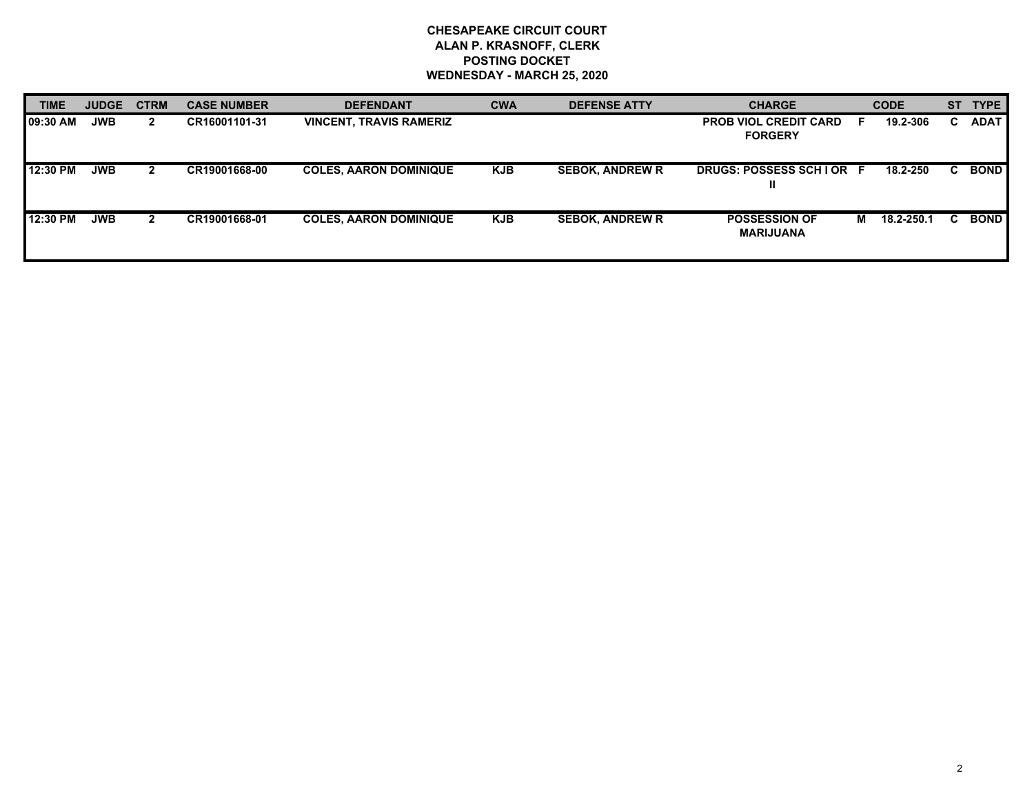## **CHESAPEAKE CIRCUIT COURT ALAN P. KRASNOFF, CLERK POSTING DOCKET WEDNESDAY - MARCH 25, 2020**

| <b>TIME</b> | <b>JUDGE</b> | <b>CTRM</b>  | <b>CASE NUMBER</b> | <b>DEFENDANT</b>               | <b>CWA</b> | <b>DEFENSE ATTY</b>    | <b>CHARGE</b>                                  |   | <b>CODE</b> | <b>ST</b> | <b>TYPE</b> |
|-------------|--------------|--------------|--------------------|--------------------------------|------------|------------------------|------------------------------------------------|---|-------------|-----------|-------------|
| 09:30 AM    | <b>JWB</b>   | $\mathbf{2}$ | CR16001101-31      | <b>VINCENT, TRAVIS RAMERIZ</b> |            |                        | <b>PROB VIOL CREDIT CARD</b><br><b>FORGERY</b> |   | 19.2-306    | C.        | <b>ADAT</b> |
| 12:30 PM    | <b>JWB</b>   | 2            | CR19001668-00      | <b>COLES, AARON DOMINIQUE</b>  | <b>KJB</b> | <b>SEBOK, ANDREW R</b> | DRUGS: POSSESS SCHIOR F<br>Ш                   |   | 18.2-250    | C.        | <b>BOND</b> |
| 12:30 PM    | <b>JWB</b>   |              | CR19001668-01      | <b>COLES, AARON DOMINIQUE</b>  | <b>KJB</b> | <b>SEBOK, ANDREW R</b> | <b>POSSESSION OF</b><br><b>MARIJUANA</b>       | M | 18.2-250.1  |           | <b>BOND</b> |